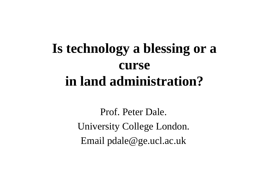## **Is technology a blessing or a curse in land administration?**

Prof. Peter Dale. University College London. Email pdale@ge.ucl.ac.uk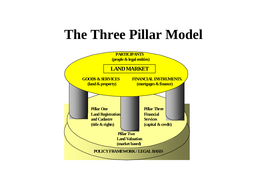#### **The Three Pillar Model**

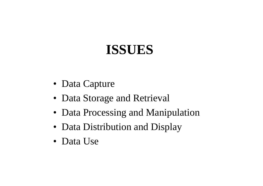## **ISSUES**

- Data Capture
- Data Storage and Retrieval
- Data Processing and Manipulation
- Data Distribution and Display
- Data Use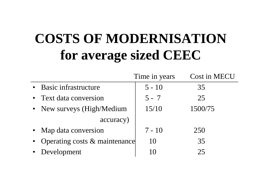## **COSTS OF MODERNISATION for average sized CEEC**

|           |                               | Time in years | <b>Cost in MECU</b> |
|-----------|-------------------------------|---------------|---------------------|
|           | • Basic infrastructure        | $5 - 10$      | 35                  |
|           | Text data conversion          | $5 - 7$       | 25                  |
|           | • New surveys (High/Medium    | 15/10         | 1500/75             |
| accuracy) |                               |               |                     |
|           | • Map data conversion         | $7 - 10$      | 250                 |
|           | Operating costs & maintenance | 10            | 35                  |
|           | Development                   | 10            | 25                  |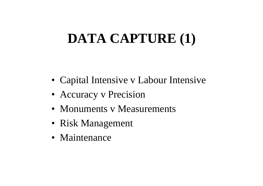## **DATA CAPTURE (1)**

- Capital Intensive v Labour Intensive
- Accuracy v Precision
- Monuments v Measurements
- Risk Management
- Maintenance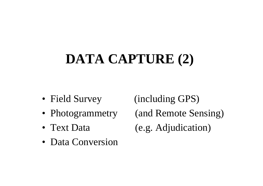# **DATA CAPTURE (2)**

- Field Survey
- Photogrammetry
- Text Data
- Data Conversion

 $(including GPS)$ (and Remote Sensing)  $(e.g.$  Adjudication)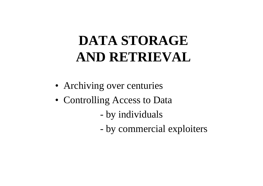## **DATA STORAGE AND RETRIEVAL**

- Archiving over centuries
- Controlling Access to Data
	- by individuals
	- by commercial exploiters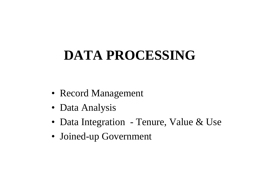## **DATA PROCESSING**

- Record Management
- Data Analysis
- Data Integration Tenure, Value & Use
- Joined-up Government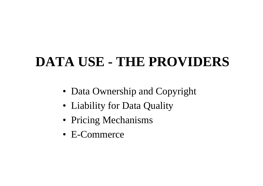## **DATA USE - THE PROVIDERS**

- Data Ownership and Copyright
- Liability for Data Quality
- Pricing Mechanisms
- E-Commerce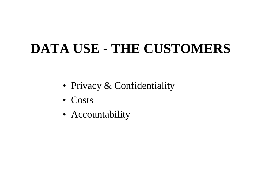## **DATA USE - THE CUSTOMERS**

- Privacy & Confidentiality
- Costs
- Accountability